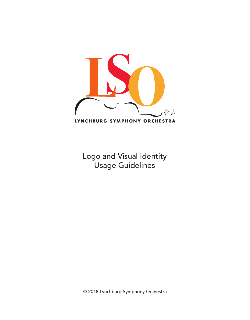

Logo and Visual Identity Usage Guidelines

© 2018 Lynchburg Symphony Orchestra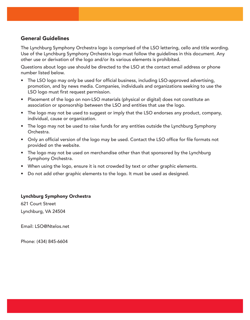### General Guidelines

The Lynchburg Symphony Orchestra logo is comprised of the LSO lettering, cello and title wording. Use of the Lynchburg Symphony Orchestra logo must follow the guidelines in this document. Any other use or derivation of the logo and/or its various elements is prohibited.

Questions about logo use should be directed to the LSO at the contact email address or phone number listed below.

- The LSO logo may only be used for official business, including LSO-approved advertising, promotion, and by news media. Companies, individuals and organizations seeking to use the LSO logo must first request permission.
- Placement of the logo on non-LSO materials (physical or digital) does not constitute an association or sponsorship between the LSO and entities that use the logo.
- The logo may not be used to suggest or imply that the LSO endorses any product, company, individual, cause or organization.
- The logo may not be used to raise funds for any entities outside the Lynchburg Symphony Orchestra.
- Only an official version of the logo may be used. Contact the LSO office for file formats not provided on the website.
- The logo may not be used on merchandise other than that sponsored by the Lynchburg Symphony Orchestra.
- When using the logo, ensure it is not crowded by text or other graphic elements.
- Do not add other graphic elements to the logo. It must be used as designed.

#### Lynchburg Symphony Orchestra

621 Court Street Lynchburg, VA 24504

Email: LSO@Ntelos.net

Phone: (434) 845-6604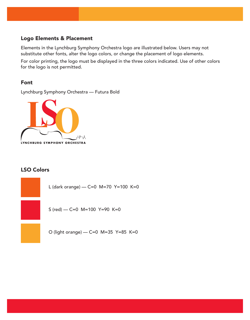### Logo Elements & Placement

Elements in the Lynchburg Symphony Orchestra logo are illustrated below. Users may not substitute other fonts, alter the logo colors, or change the placement of logo elements.

For color printing, the logo must be displayed in the three colors indicated. Use of other colors for the logo is not permitted.

### Font

Lynchburg Symphony Orchestra — Futura Bold



# LSO Colors

L (dark orange) — C=0 M=70 Y=100 K=0

S (red) — C=0 M=100 Y=90 K=0

O (light orange) — C=0 M=35 Y=85 K=0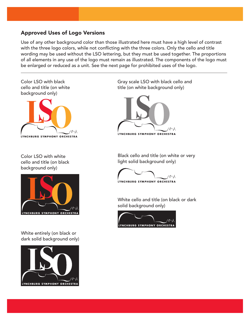## Approved Uses of Logo Versions

Use of any other background color than those illustrated here must have a high level of contrast with the three logo colors, while not conflicting with the three colors. Only the cello and title wording may be used without the LSO lettering, but they must be used together. The proportions of all elements in any use of the logo must remain as illustrated. The components of the logo must be enlarged or reduced as a unit. See the next page for prohibited uses of the logo.





Color LSO with white cello and title (on black background only)



White entirely (on black or dark solid background only)



Gray scale LSO with black cello and title (on white background only)



Black cello and title (on white or very light solid background only)

AMA LYNCHBURG SYMPHONY ORCHESTRA

White cello and title (on black or dark solid background only)